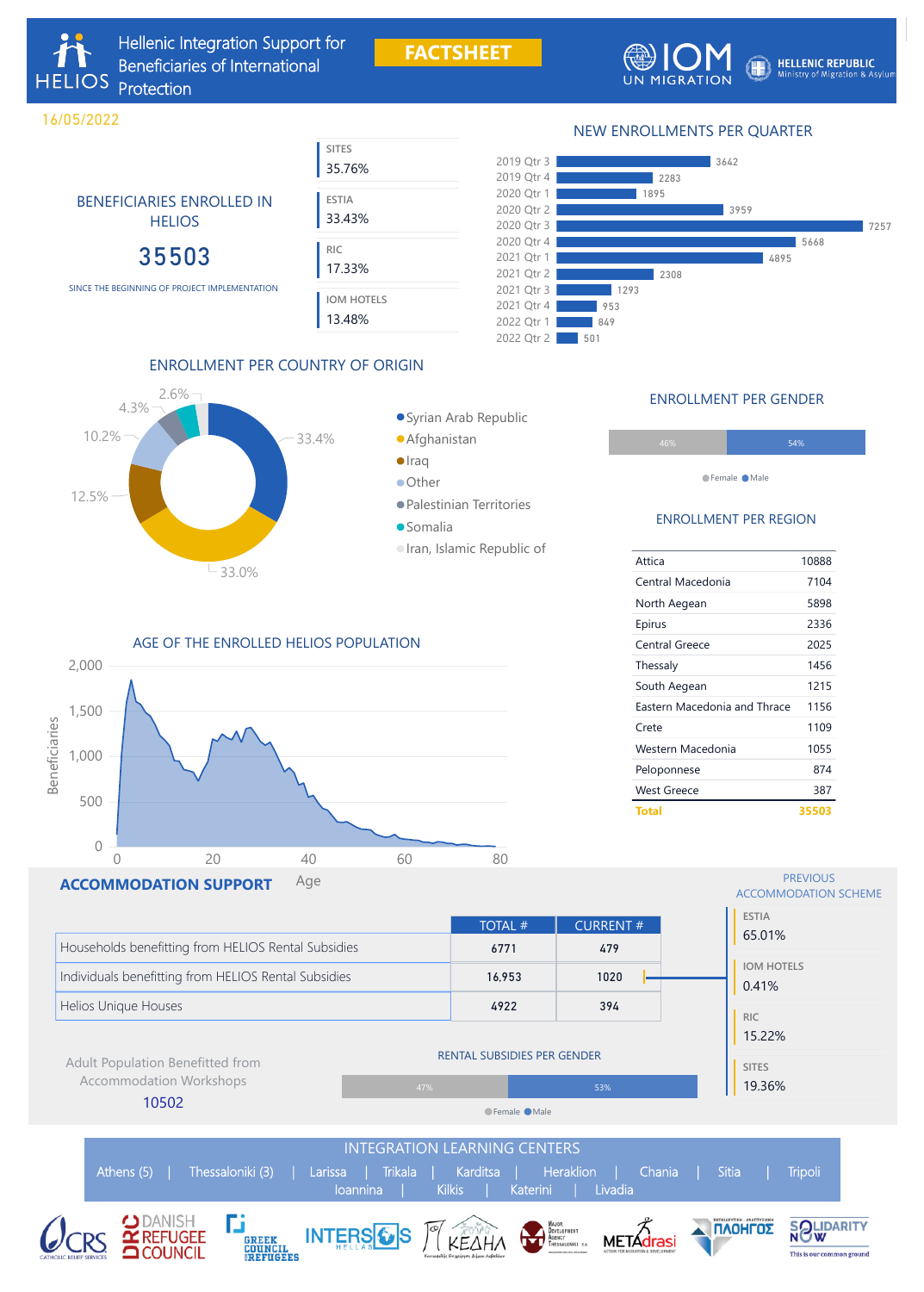### NEW ENROLLMENTS PER QUARTER



## BENEFICIARIES ENROLLED IN **HELIOS**

**FACTSHEET**



**HELLENIC REPUBLIC** Ministry of Migration & Asylum

### ENROLLMENT PER COUNTRY OF ORIGIN



### Syrian Arab Republic

- Afghanistan
- **•** Iraq
- **Other**
- Palestinian Territories
- Somalia
- Iran, Islamic Republic of

| <b>SITES</b><br>35.76%      |  |
|-----------------------------|--|
| <b>ESTIA</b><br>33.43%      |  |
| <b>RIC</b><br>17.33%        |  |
| <b>IOM HOTELS</b><br>13.48% |  |

# 35503





|                                                      |                                    | <b>TOTAL #</b> | <b>CURRENT#</b> |  |
|------------------------------------------------------|------------------------------------|----------------|-----------------|--|
| Households benefitting from HELIOS Rental Subsidies  |                                    | 6771           | 479             |  |
| Individuals benefitting from HELIOS Rental Subsidies |                                    | 16,953         | 1020            |  |
| Helios Unique Houses                                 |                                    | 4922           | 394             |  |
| <b>Adult Population Benefitted from</b>              | <b>RENTAL SUBSIDIES PER GENDER</b> |                |                 |  |
| <b>Accommodation Workshops</b>                       | 47%                                |                | 53%             |  |
| 10502                                                |                                    | ●Female ●Male  |                 |  |
|                                                      |                                    |                |                 |  |





### ENROLLMENT PER REGION

| Attica                              | 10888 |
|-------------------------------------|-------|
| Central Macedonia                   | 7104  |
| North Aegean                        | 5898  |
| Epirus                              | 2336  |
| <b>Central Greece</b>               | 2025  |
| Thessaly                            | 1456  |
| South Aegean                        | 1215  |
| <b>Eastern Macedonia and Thrace</b> | 1156  |
| Crete                               | 1109  |
| Western Macedonia                   | 1055  |
| Peloponnese                         | 874   |
| West Greece                         | 387   |
| <b>Total</b>                        | 35503 |

### ENROLLMENT PER GENDER

| 46% | 54% |
|-----|-----|
|     |     |

●Female ●Male

SINCE THE BEGINNING OF PROJECT IMPLEMENTATION

**HELIOS** 

16/05/2022